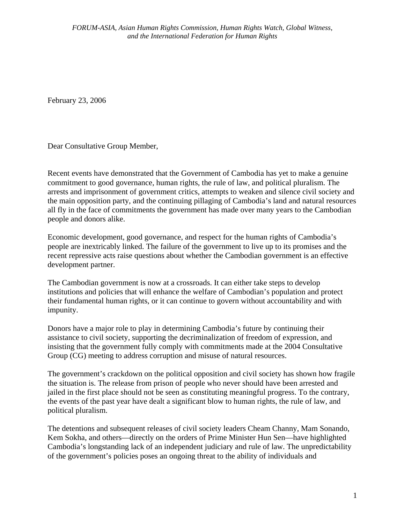February 23, 2006

Dear Consultative Group Member,

Recent events have demonstrated that the Government of Cambodia has yet to make a genuine commitment to good governance, human rights, the rule of law, and political pluralism. The arrests and imprisonment of government critics, attempts to weaken and silence civil society and the main opposition party, and the continuing pillaging of Cambodia's land and natural resources all fly in the face of commitments the government has made over many years to the Cambodian people and donors alike.

Economic development, good governance, and respect for the human rights of Cambodia's people are inextricably linked. The failure of the government to live up to its promises and the recent repressive acts raise questions about whether the Cambodian government is an effective development partner.

The Cambodian government is now at a crossroads. It can either take steps to develop institutions and policies that will enhance the welfare of Cambodian's population and protect their fundamental human rights, or it can continue to govern without accountability and with impunity.

Donors have a major role to play in determining Cambodia's future by continuing their assistance to civil society, supporting the decriminalization of freedom of expression, and insisting that the government fully comply with commitments made at the 2004 Consultative Group (CG) meeting to address corruption and misuse of natural resources.

The government's crackdown on the political opposition and civil society has shown how fragile the situation is. The release from prison of people who never should have been arrested and jailed in the first place should not be seen as constituting meaningful progress. To the contrary, the events of the past year have dealt a significant blow to human rights, the rule of law, and political pluralism.

The detentions and subsequent releases of civil society leaders Cheam Channy, Mam Sonando, Kem Sokha, and others—directly on the orders of Prime Minister Hun Sen—have highlighted Cambodia's longstanding lack of an independent judiciary and rule of law. The unpredictability of the government's policies poses an ongoing threat to the ability of individuals and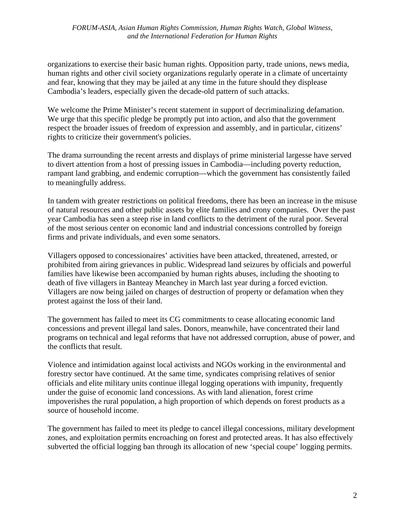organizations to exercise their basic human rights. Opposition party, trade unions, news media, human rights and other civil society organizations regularly operate in a climate of uncertainty and fear, knowing that they may be jailed at any time in the future should they displease Cambodia's leaders, especially given the decade-old pattern of such attacks.

We welcome the Prime Minister's recent statement in support of decriminalizing defamation. We urge that this specific pledge be promptly put into action, and also that the government respect the broader issues of freedom of expression and assembly, and in particular, citizens' rights to criticize their government's policies.

The drama surrounding the recent arrests and displays of prime ministerial largesse have served to divert attention from a host of pressing issues in Cambodia—including poverty reduction, rampant land grabbing, and endemic corruption—which the government has consistently failed to meaningfully address.

In tandem with greater restrictions on political freedoms, there has been an increase in the misuse of natural resources and other public assets by elite families and crony companies. Over the past year Cambodia has seen a steep rise in land conflicts to the detriment of the rural poor. Several of the most serious center on economic land and industrial concessions controlled by foreign firms and private individuals, and even some senators.

Villagers opposed to concessionaires' activities have been attacked, threatened, arrested, or prohibited from airing grievances in public. Widespread land seizures by officials and powerful families have likewise been accompanied by human rights abuses, including the shooting to death of five villagers in Banteay Meanchey in March last year during a forced eviction. Villagers are now being jailed on charges of destruction of property or defamation when they protest against the loss of their land.

The government has failed to meet its CG commitments to cease allocating economic land concessions and prevent illegal land sales. Donors, meanwhile, have concentrated their land programs on technical and legal reforms that have not addressed corruption, abuse of power, and the conflicts that result.

Violence and intimidation against local activists and NGOs working in the environmental and forestry sector have continued. At the same time, syndicates comprising relatives of senior officials and elite military units continue illegal logging operations with impunity, frequently under the guise of economic land concessions. As with land alienation, forest crime impoverishes the rural population, a high proportion of which depends on forest products as a source of household income.

The government has failed to meet its pledge to cancel illegal concessions, military development zones, and exploitation permits encroaching on forest and protected areas. It has also effectively subverted the official logging ban through its allocation of new 'special coupe' logging permits.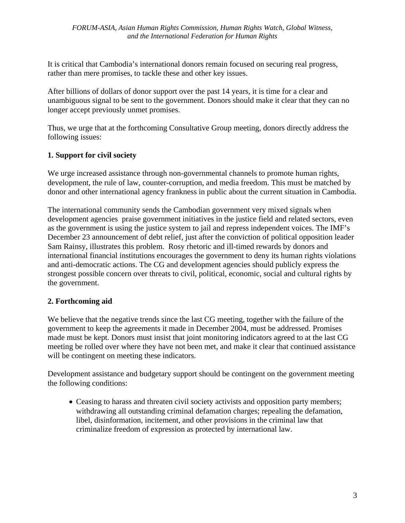It is critical that Cambodia's international donors remain focused on securing real progress, rather than mere promises, to tackle these and other key issues.

After billions of dollars of donor support over the past 14 years, it is time for a clear and unambiguous signal to be sent to the government. Donors should make it clear that they can no longer accept previously unmet promises.

Thus, we urge that at the forthcoming Consultative Group meeting, donors directly address the following issues:

## **1. Support for civil society**

We urge increased assistance through non-governmental channels to promote human rights, development, the rule of law, counter-corruption, and media freedom. This must be matched by donor and other international agency frankness in public about the current situation in Cambodia.

The international community sends the Cambodian government very mixed signals when development agencies praise government initiatives in the justice field and related sectors, even as the government is using the justice system to jail and repress independent voices. The IMF's December 23 announcement of debt relief, just after the conviction of political opposition leader Sam Rainsy, illustrates this problem. Rosy rhetoric and ill-timed rewards by donors and international financial institutions encourages the government to deny its human rights violations and anti-democratic actions. The CG and development agencies should publicly express the strongest possible concern over threats to civil, political, economic, social and cultural rights by the government.

## **2. Forthcoming aid**

We believe that the negative trends since the last CG meeting, together with the failure of the government to keep the agreements it made in December 2004, must be addressed. Promises made must be kept. Donors must insist that joint monitoring indicators agreed to at the last CG meeting be rolled over where they have not been met, and make it clear that continued assistance will be contingent on meeting these indicators.

Development assistance and budgetary support should be contingent on the government meeting the following conditions:

• Ceasing to harass and threaten civil society activists and opposition party members; withdrawing all outstanding criminal defamation charges; repealing the defamation, libel, disinformation, incitement, and other provisions in the criminal law that criminalize freedom of expression as protected by international law.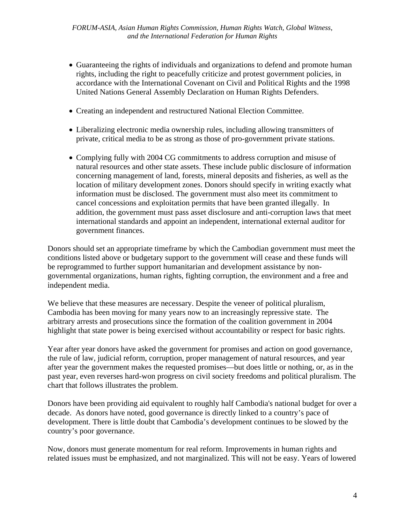- Guaranteeing the rights of individuals and organizations to defend and promote human rights, including the right to peacefully criticize and protest government policies, in accordance with the International Covenant on Civil and Political Rights and the 1998 United Nations General Assembly Declaration on Human Rights Defenders.
- Creating an independent and restructured National Election Committee.
- Liberalizing electronic media ownership rules, including allowing transmitters of private, critical media to be as strong as those of pro-government private stations.
- Complying fully with 2004 CG commitments to address corruption and misuse of natural resources and other state assets. These include public disclosure of information concerning management of land, forests, mineral deposits and fisheries, as well as the location of military development zones. Donors should specify in writing exactly what information must be disclosed. The government must also meet its commitment to cancel concessions and exploitation permits that have been granted illegally. In addition, the government must pass asset disclosure and anti-corruption laws that meet international standards and appoint an independent, international external auditor for government finances.

Donors should set an appropriate timeframe by which the Cambodian government must meet the conditions listed above or budgetary support to the government will cease and these funds will be reprogrammed to further support humanitarian and development assistance by nongovernmental organizations, human rights, fighting corruption, the environment and a free and independent media.

We believe that these measures are necessary. Despite the veneer of political pluralism, Cambodia has been moving for many years now to an increasingly repressive state. The arbitrary arrests and prosecutions since the formation of the coalition government in 2004 highlight that state power is being exercised without accountability or respect for basic rights.

Year after year donors have asked the government for promises and action on good governance, the rule of law, judicial reform, corruption, proper management of natural resources, and year after year the government makes the requested promises––but does little or nothing, or, as in the past year, even reverses hard-won progress on civil society freedoms and political pluralism. The chart that follows illustrates the problem.

Donors have been providing aid equivalent to roughly half Cambodia's national budget for over a decade. As donors have noted, good governance is directly linked to a country's pace of development. There is little doubt that Cambodia's development continues to be slowed by the country's poor governance.

Now, donors must generate momentum for real reform. Improvements in human rights and related issues must be emphasized, and not marginalized. This will not be easy. Years of lowered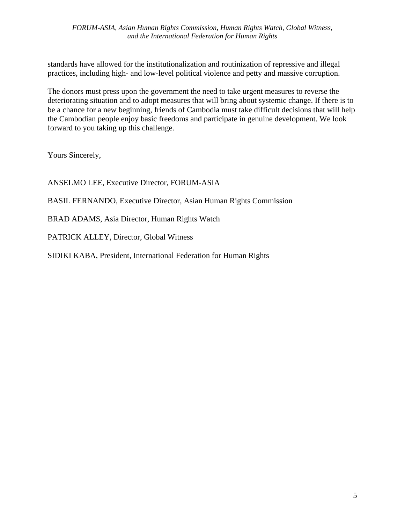## *FORUM-ASIA, Asian Human Rights Commission, Human Rights Watch, Global Witness, and the International Federation for Human Rights*

standards have allowed for the institutionalization and routinization of repressive and illegal practices, including high- and low-level political violence and petty and massive corruption.

The donors must press upon the government the need to take urgent measures to reverse the deteriorating situation and to adopt measures that will bring about systemic change. If there is to be a chance for a new beginning, friends of Cambodia must take difficult decisions that will help the Cambodian people enjoy basic freedoms and participate in genuine development. We look forward to you taking up this challenge.

Yours Sincerely,

ANSELMO LEE, Executive Director, FORUM-ASIA

BASIL FERNANDO, Executive Director, Asian Human Rights Commission

BRAD ADAMS, Asia Director, Human Rights Watch

PATRICK ALLEY, Director, Global Witness

SIDIKI KABA, President, International Federation for Human Rights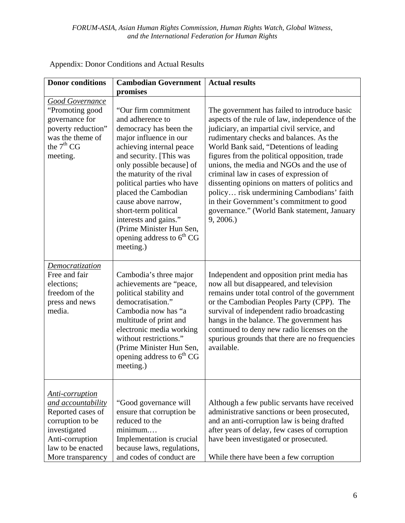| <b>Donor conditions</b>                                                                                                                                     | <b>Cambodian Government</b><br>promises                                                                                                                                                                                                                                                                                                                                                                             | <b>Actual results</b>                                                                                                                                                                                                                                                                                                                                                                                                                                                                                                                                                            |
|-------------------------------------------------------------------------------------------------------------------------------------------------------------|---------------------------------------------------------------------------------------------------------------------------------------------------------------------------------------------------------------------------------------------------------------------------------------------------------------------------------------------------------------------------------------------------------------------|----------------------------------------------------------------------------------------------------------------------------------------------------------------------------------------------------------------------------------------------------------------------------------------------------------------------------------------------------------------------------------------------------------------------------------------------------------------------------------------------------------------------------------------------------------------------------------|
| Good Governance<br>"Promoting good<br>governance for<br>poverty reduction"<br>was the theme of<br>the $7th CG$<br>meeting.                                  | "Our firm commitment<br>and adherence to<br>democracy has been the<br>major influence in our<br>achieving internal peace<br>and security. [This was<br>only possible because] of<br>the maturity of the rival<br>political parties who have<br>placed the Cambodian<br>cause above narrow,<br>short-term political<br>interests and gains."<br>(Prime Minister Hun Sen,<br>opening address to $6th CG$<br>meeting.) | The government has failed to introduce basic<br>aspects of the rule of law, independence of the<br>judiciary, an impartial civil service, and<br>rudimentary checks and balances. As the<br>World Bank said, "Detentions of leading<br>figures from the political opposition, trade<br>unions, the media and NGOs and the use of<br>criminal law in cases of expression of<br>dissenting opinions on matters of politics and<br>policy risk undermining Cambodians' faith<br>in their Government's commitment to good<br>governance." (World Bank statement, January<br>9, 2006. |
| Democratization<br>Free and fair<br>elections;<br>freedom of the<br>press and news<br>media.                                                                | Cambodia's three major<br>achievements are "peace,<br>political stability and<br>democratisation."<br>Cambodia now has "a<br>multitude of print and<br>electronic media working<br>without restrictions."<br>(Prime Minister Hun Sen,<br>opening address to $6th CG$<br>meeting.)                                                                                                                                   | Independent and opposition print media has<br>now all but disappeared, and television<br>remains under total control of the government<br>or the Cambodian Peoples Party (CPP). The<br>survival of independent radio broadcasting<br>hangs in the balance. The government has<br>continued to deny new radio licenses on the<br>spurious grounds that there are no frequencies<br>available.                                                                                                                                                                                     |
| Anti-corruption<br>and accountability<br>Reported cases of<br>corruption to be<br>investigated<br>Anti-corruption<br>law to be enacted<br>More transparency | "Good governance will<br>ensure that corruption be<br>reduced to the<br>minimum<br>Implementation is crucial<br>because laws, regulations,<br>and codes of conduct are                                                                                                                                                                                                                                              | Although a few public servants have received<br>administrative sanctions or been prosecuted,<br>and an anti-corruption law is being drafted<br>after years of delay, few cases of corruption<br>have been investigated or prosecuted.<br>While there have been a few corruption                                                                                                                                                                                                                                                                                                  |

Appendix: Donor Conditions and Actual Results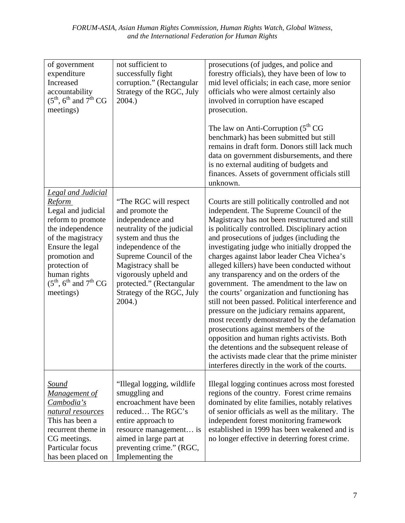| of government<br>expenditure<br>Increased<br>accountability<br>$(5^{\text{th}}, 6^{\text{th}}$ and $7^{\text{th}}$ CG<br>meetings)                                                                                                                                                   | not sufficient to<br>successfully fight<br>corruption." (Rectangular<br>Strategy of the RGC, July<br>2004.                                                                                                                                                                            | prosecutions (of judges, and police and<br>forestry officials), they have been of low to<br>mid level officials; in each case, more senior<br>officials who were almost certainly also<br>involved in corruption have escaped<br>prosecution.<br>The law on Anti-Corruption $(5th CG)$<br>benchmark) has been submitted but still<br>remains in draft form. Donors still lack much<br>data on government disbursements, and there                                                                                                                                                                                                                                                                                                                                                                                                                                                                                                  |
|--------------------------------------------------------------------------------------------------------------------------------------------------------------------------------------------------------------------------------------------------------------------------------------|---------------------------------------------------------------------------------------------------------------------------------------------------------------------------------------------------------------------------------------------------------------------------------------|------------------------------------------------------------------------------------------------------------------------------------------------------------------------------------------------------------------------------------------------------------------------------------------------------------------------------------------------------------------------------------------------------------------------------------------------------------------------------------------------------------------------------------------------------------------------------------------------------------------------------------------------------------------------------------------------------------------------------------------------------------------------------------------------------------------------------------------------------------------------------------------------------------------------------------|
|                                                                                                                                                                                                                                                                                      |                                                                                                                                                                                                                                                                                       | is no external auditing of budgets and<br>finances. Assets of government officials still<br>unknown.                                                                                                                                                                                                                                                                                                                                                                                                                                                                                                                                                                                                                                                                                                                                                                                                                               |
| Legal and Judicial<br><u>Reform</u><br>Legal and judicial<br>reform to promote<br>the independence<br>of the magistracy<br>Ensure the legal<br>promotion and<br>protection of<br>human rights<br>$(5^{\text{th}}, 6^{\text{th}} \text{ and } 7^{\text{th}} \text{ CG})$<br>meetings) | "The RGC will respect"<br>and promote the<br>independence and<br>neutrality of the judicial<br>system and thus the<br>independence of the<br>Supreme Council of the<br>Magistracy shall be<br>vigorously upheld and<br>protected." (Rectangular<br>Strategy of the RGC, July<br>2004. | Courts are still politically controlled and not<br>independent. The Supreme Council of the<br>Magistracy has not been restructured and still<br>is politically controlled. Disciplinary action<br>and prosecutions of judges (including the<br>investigating judge who initially dropped the<br>charges against labor leader Chea Vichea's<br>alleged killers) have been conducted without<br>any transparency and on the orders of the<br>government. The amendment to the law on<br>the courts' organization and functioning has<br>still not been passed. Political interference and<br>pressure on the judiciary remains apparent,<br>most recently demonstrated by the defamation<br>prosecutions against members of the<br>opposition and human rights activists. Both<br>the detentions and the subsequent release of<br>the activists made clear that the prime minister<br>interferes directly in the work of the courts. |
| <u>Sound</u><br>Management of<br>Cambodia's<br>natural resources<br>This has been a<br>recurrent theme in<br>CG meetings.<br>Particular focus<br>has been placed on                                                                                                                  | "Illegal logging, wildlife<br>smuggling and<br>encroachment have been<br>reduced The RGC's<br>entire approach to<br>resource management is<br>aimed in large part at<br>preventing crime." (RGC,<br>Implementing the                                                                  | Illegal logging continues across most forested<br>regions of the country. Forest crime remains<br>dominated by elite families, notably relatives<br>of senior officials as well as the military. The<br>independent forest monitoring framework<br>established in 1999 has been weakened and is<br>no longer effective in deterring forest crime.                                                                                                                                                                                                                                                                                                                                                                                                                                                                                                                                                                                  |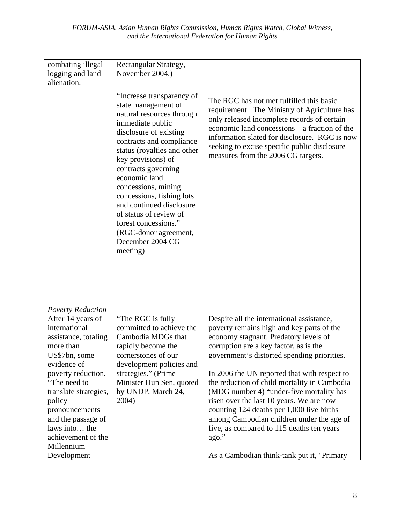| combating illegal<br>logging and land<br>alienation.                                                                                                                                                                                                                                                                     | Rectangular Strategy,<br>November 2004.)<br>"Increase transparency of<br>state management of<br>natural resources through<br>immediate public<br>disclosure of existing<br>contracts and compliance<br>status (royalties and other<br>key provisions) of<br>contracts governing<br>economic land<br>concessions, mining<br>concessions, fishing lots<br>and continued disclosure<br>of status of review of<br>forest concessions."<br>(RGC-donor agreement,<br>December 2004 CG<br>meeting) | The RGC has not met fulfilled this basic<br>requirement. The Ministry of Agriculture has<br>only released incomplete records of certain<br>economic land concessions – a fraction of the<br>information slated for disclosure. RGC is now<br>seeking to excise specific public disclosure<br>measures from the 2006 CG targets.                                                                                                                                                                                                                                                                                |
|--------------------------------------------------------------------------------------------------------------------------------------------------------------------------------------------------------------------------------------------------------------------------------------------------------------------------|---------------------------------------------------------------------------------------------------------------------------------------------------------------------------------------------------------------------------------------------------------------------------------------------------------------------------------------------------------------------------------------------------------------------------------------------------------------------------------------------|----------------------------------------------------------------------------------------------------------------------------------------------------------------------------------------------------------------------------------------------------------------------------------------------------------------------------------------------------------------------------------------------------------------------------------------------------------------------------------------------------------------------------------------------------------------------------------------------------------------|
| <b>Poverty Reduction</b><br>After 14 years of<br>international<br>assistance, totaling<br>more than<br>US\$7bn, some<br>evidence of<br>poverty reduction.<br>"The need to<br>translate strategies,<br>policy<br>pronouncements<br>and the passage of<br>laws into the<br>achievement of the<br>Millennium<br>Development | "The RGC is fully"<br>committed to achieve the<br>Cambodia MDGs that<br>rapidly become the<br>cornerstones of our<br>development policies and<br>strategies." (Prime<br>Minister Hun Sen, quoted<br>by UNDP, March 24,<br>2004)                                                                                                                                                                                                                                                             | Despite all the international assistance,<br>poverty remains high and key parts of the<br>economy stagnant. Predatory levels of<br>corruption are a key factor, as is the<br>government's distorted spending priorities.<br>In 2006 the UN reported that with respect to<br>the reduction of child mortality in Cambodia<br>(MDG number 4) "under-five mortality has<br>risen over the last 10 years. We are now<br>counting 124 deaths per 1,000 live births<br>among Cambodian children under the age of<br>five, as compared to 115 deaths ten years<br>ago."<br>As a Cambodian think-tank put it, "Primary |